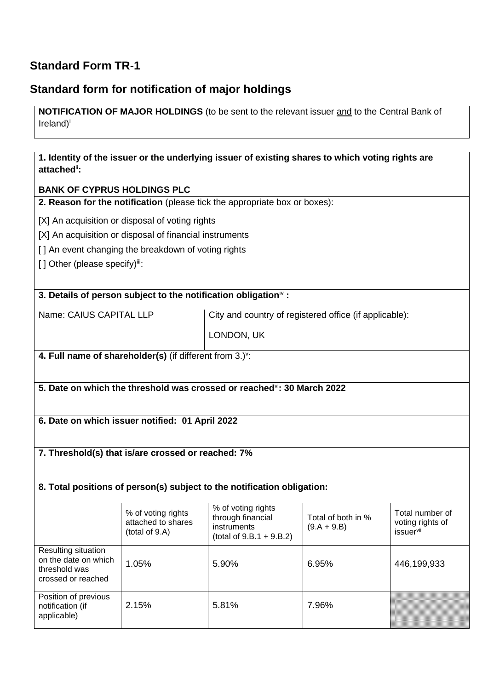## **Standard Form TR-1**

## **Standard form for notification of major holdings**

**NOTIFICATION OF MAJOR HOLDINGS** (to be sent to the relevant issuer and to the Central Bank of Ireland) I

| attached":                                                                         |                                                                      | 1. Identity of the issuer or the underlying issuer of existing shares to which voting rights are |                                     |                                                         |  |
|------------------------------------------------------------------------------------|----------------------------------------------------------------------|--------------------------------------------------------------------------------------------------|-------------------------------------|---------------------------------------------------------|--|
|                                                                                    | <b>BANK OF CYPRUS HOLDINGS PLC</b>                                   |                                                                                                  |                                     |                                                         |  |
|                                                                                    |                                                                      | 2. Reason for the notification (please tick the appropriate box or boxes):                       |                                     |                                                         |  |
|                                                                                    | [X] An acquisition or disposal of voting rights                      |                                                                                                  |                                     |                                                         |  |
|                                                                                    | [X] An acquisition or disposal of financial instruments              |                                                                                                  |                                     |                                                         |  |
|                                                                                    | [] An event changing the breakdown of voting rights                  |                                                                                                  |                                     |                                                         |  |
| [] Other (please specify)ii:                                                       |                                                                      |                                                                                                  |                                     |                                                         |  |
|                                                                                    |                                                                      |                                                                                                  |                                     |                                                         |  |
|                                                                                    |                                                                      | 3. Details of person subject to the notification obligation <sup>iv</sup> :                      |                                     |                                                         |  |
| Name: CAIUS CAPITAL LLP                                                            |                                                                      | City and country of registered office (if applicable):                                           |                                     |                                                         |  |
|                                                                                    |                                                                      | LONDON, UK                                                                                       |                                     |                                                         |  |
|                                                                                    | 4. Full name of shareholder(s) (if different from 3.) <sup>v</sup> : |                                                                                                  |                                     |                                                         |  |
|                                                                                    |                                                                      |                                                                                                  |                                     |                                                         |  |
|                                                                                    |                                                                      |                                                                                                  |                                     |                                                         |  |
|                                                                                    |                                                                      | 5. Date on which the threshold was crossed or reached i. 30 March 2022                           |                                     |                                                         |  |
|                                                                                    |                                                                      |                                                                                                  |                                     |                                                         |  |
|                                                                                    | 6. Date on which issuer notified: 01 April 2022                      |                                                                                                  |                                     |                                                         |  |
|                                                                                    |                                                                      |                                                                                                  |                                     |                                                         |  |
| 7. Threshold(s) that is/are crossed or reached: 7%                                 |                                                                      |                                                                                                  |                                     |                                                         |  |
|                                                                                    |                                                                      |                                                                                                  |                                     |                                                         |  |
| 8. Total positions of person(s) subject to the notification obligation:            |                                                                      |                                                                                                  |                                     |                                                         |  |
|                                                                                    |                                                                      |                                                                                                  |                                     |                                                         |  |
|                                                                                    | % of voting rights<br>attached to shares<br>(total of 9.A)           | % of voting rights<br>through financial<br>instruments<br>$(total of 9.B.1 + 9.B.2)$             | Total of both in %<br>$(9.A + 9.B)$ | Total number of<br>voting rights of<br><i>issuervii</i> |  |
| Resulting situation<br>on the date on which<br>threshold was<br>crossed or reached | 1.05%                                                                | 5.90%                                                                                            | 6.95%                               | 446,199,933                                             |  |
| Position of previous<br>notification (if<br>applicable)                            | 2.15%                                                                | 5.81%                                                                                            | 7.96%                               |                                                         |  |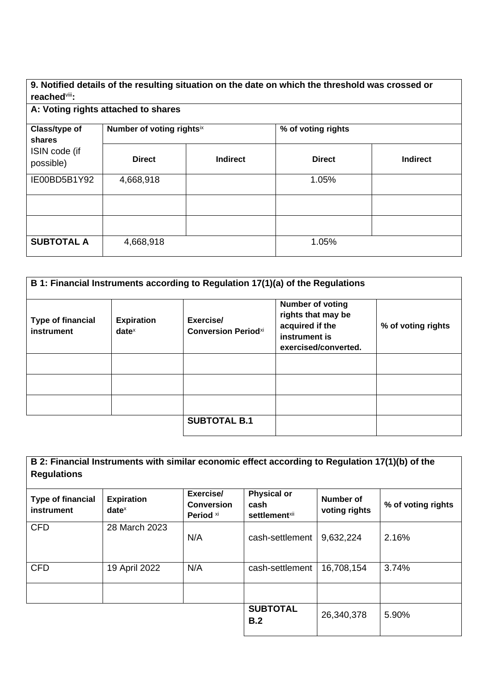## **9. Notified details of the resulting situation on the date on which the threshold was crossed or reached**viii**:**

| .                                                     |                           |                 |                    |                 |  |
|-------------------------------------------------------|---------------------------|-----------------|--------------------|-----------------|--|
| A: Voting rights attached to shares                   |                           |                 |                    |                 |  |
| Class/type of<br>shares<br>ISIN code (if<br>possible) | Number of voting rightsix |                 | % of voting rights |                 |  |
|                                                       | <b>Direct</b>             | <b>Indirect</b> | <b>Direct</b>      | <b>Indirect</b> |  |
| IE00BD5B1Y92                                          | 4,668,918                 |                 | 1.05%              |                 |  |
|                                                       |                           |                 |                    |                 |  |
|                                                       |                           |                 |                    |                 |  |
| <b>SUBTOTAL A</b>                                     | 4,668,918                 |                 | 1.05%              |                 |  |

| <b>Type of financial</b><br>instrument | <b>Expiration</b><br>$date^x$ | B 1: Financial Instruments according to Regulation 17(1)(a) of the Regulations<br>Exercise/<br><b>Conversion Periodxi</b> | <b>Number of voting</b><br>rights that may be<br>acquired if the<br>instrument is<br>exercised/converted. | % of voting rights |
|----------------------------------------|-------------------------------|---------------------------------------------------------------------------------------------------------------------------|-----------------------------------------------------------------------------------------------------------|--------------------|
|                                        |                               |                                                                                                                           |                                                                                                           |                    |
|                                        |                               |                                                                                                                           |                                                                                                           |                    |
|                                        |                               | <b>SUBTOTAL B.1</b>                                                                                                       |                                                                                                           |                    |

| B 2: Financial Instruments with similar economic effect according to Regulation 17(1)(b) of the<br><b>Regulations</b> |                               |                                             |                                                         |                            |                    |
|-----------------------------------------------------------------------------------------------------------------------|-------------------------------|---------------------------------------------|---------------------------------------------------------|----------------------------|--------------------|
| <b>Type of financial</b><br>instrument                                                                                | <b>Expiration</b><br>$date^x$ | Exercise/<br><b>Conversion</b><br>Period xi | <b>Physical or</b><br>cash<br>settlement <sup>xii</sup> | Number of<br>voting rights | % of voting rights |
| <b>CFD</b>                                                                                                            | 28 March 2023                 | N/A                                         | cash-settlement                                         | 9,632,224                  | 2.16%              |
| <b>CFD</b>                                                                                                            | 19 April 2022                 | N/A                                         | cash-settlement                                         | 16,708,154                 | 3.74%              |
|                                                                                                                       |                               |                                             |                                                         |                            |                    |
|                                                                                                                       |                               |                                             | <b>SUBTOTAL</b><br>B.2                                  | 26,340,378                 | 5.90%              |